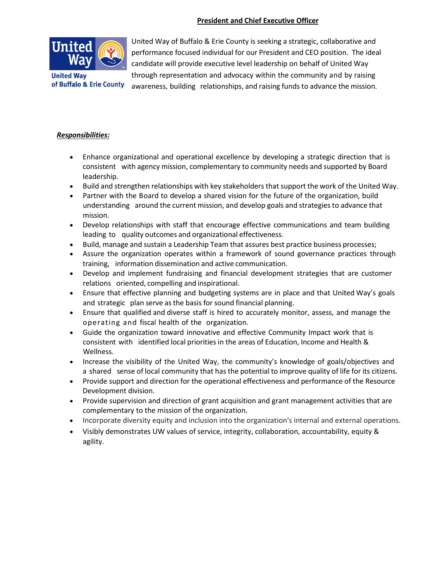## **President and Chief Executive Officer**



**United Way** of Buffalo & Erie County

United Way of Buffalo & Erie County is seeking a strategic, collaborative and performance focused individual for our President and CEO position. The ideal candidate will provide executive level leadership on behalf of United Way through representation and advocacy within the community and by raising awareness, building relationships, and raising funds to advance the mission.

## *Responsibilities:*

- Enhance organizational and operational excellence by developing a strategic direction that is consistent with agency mission, complementary to community needs and supported by Board leadership.
- Build and strengthen relationships with key stakeholders that support the work of the United Way.
- Partner with the Board to develop a shared vision for the future of the organization, build understanding around the current mission, and develop goals and strategies to advance that mission.
- Develop relationships with staff that encourage effective communications and team building leading to quality outcomes and organizational effectiveness.
- Build, manage and sustain a Leadership Team that assures best practice business processes;
- Assure the organization operates within a framework of sound governance practices through training, information dissemination and active communication.
- Develop and implement fundraising and financial development strategies that are customer relations oriented, compelling and inspirational.
- Ensure that effective planning and budgeting systems are in place and that United Way's goals and strategic plan serve asthe basis for sound financial planning.
- Ensure that qualified and diverse staff is hired to accurately monitor, assess, and manage the operating and fiscal health of the organization.
- Guide the organization toward innovative and effective Community Impact work that is consistent with identified local priorities in the areas of Education, Income and Health & Wellness.
- Increase the visibility of the United Way, the community's knowledge of goals/objectives and a shared sense of local community that has the potential to improve quality of life for its citizens.
- Provide support and direction for the operational effectiveness and performance of the Resource Development division.
- Provide supervision and direction of grant acquisition and grant management activities that are complementary to the mission of the organization.
- Incorporate diversity equity and inclusion into the organization's internal and external operations.
- Visibly demonstrates UW values of service, integrity, collaboration, accountability, equity & agility.